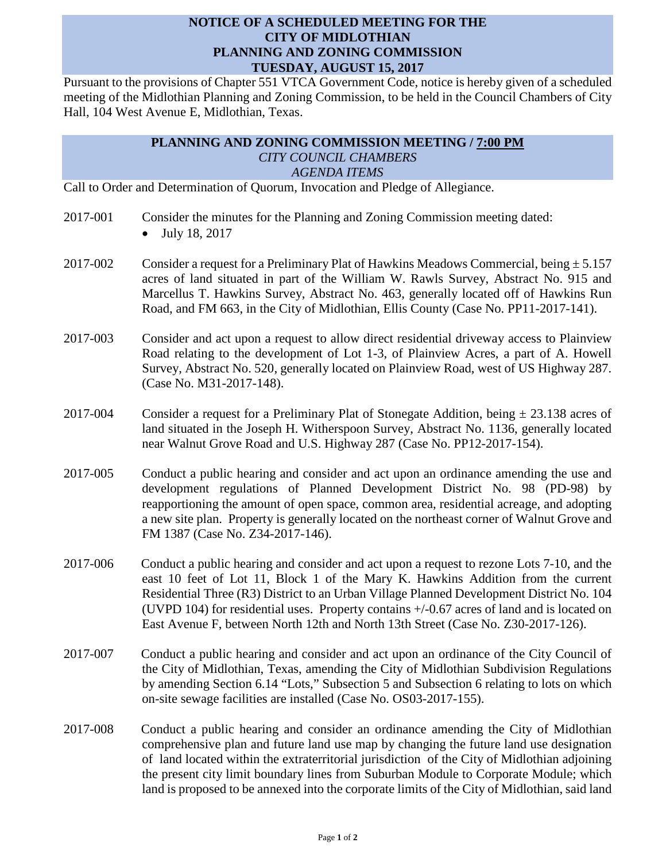## **NOTICE OF A SCHEDULED MEETING FOR THE CITY OF MIDLOTHIAN PLANNING AND ZONING COMMISSION TUESDAY, AUGUST 15, 2017**

Pursuant to the provisions of Chapter 551 VTCA Government Code, notice is hereby given of a scheduled meeting of the Midlothian Planning and Zoning Commission, to be held in the Council Chambers of City Hall, 104 West Avenue E, Midlothian, Texas.

## **PLANNING AND ZONING COMMISSION MEETING / 7:00 PM** *CITY COUNCIL CHAMBERS AGENDA ITEMS*

Call to Order and Determination of Quorum, Invocation and Pledge of Allegiance.

- 2017-001 Consider the minutes for the Planning and Zoning Commission meeting dated:
	- July 18, 2017
- 2017-002 Consider a request for a Preliminary Plat of Hawkins Meadows Commercial, being  $\pm$  5.157 acres of land situated in part of the William W. Rawls Survey, Abstract No. 915 and Marcellus T. Hawkins Survey, Abstract No. 463, generally located off of Hawkins Run Road, and FM 663, in the City of Midlothian, Ellis County (Case No. PP11-2017-141).
- 2017-003 Consider and act upon a request to allow direct residential driveway access to Plainview Road relating to the development of Lot 1-3, of Plainview Acres, a part of A. Howell Survey, Abstract No. 520, generally located on Plainview Road, west of US Highway 287. (Case No. M31-2017-148).
- 2017-004 Consider a request for a Preliminary Plat of Stonegate Addition, being  $\pm$  23.138 acres of land situated in the Joseph H. Witherspoon Survey, Abstract No. 1136, generally located near Walnut Grove Road and U.S. Highway 287 (Case No. PP12-2017-154).
- 2017-005 Conduct a public hearing and consider and act upon an ordinance amending the use and development regulations of Planned Development District No. 98 (PD-98) by reapportioning the amount of open space, common area, residential acreage, and adopting a new site plan. Property is generally located on the northeast corner of Walnut Grove and FM 1387 (Case No. Z34-2017-146).
- 2017-006 Conduct a public hearing and consider and act upon a request to rezone Lots 7-10, and the east 10 feet of Lot 11, Block 1 of the Mary K. Hawkins Addition from the current Residential Three (R3) District to an Urban Village Planned Development District No. 104 (UVPD 104) for residential uses. Property contains +/-0.67 acres of land and is located on East Avenue F, between North 12th and North 13th Street (Case No. Z30-2017-126).
- 2017-007 Conduct a public hearing and consider and act upon an ordinance of the City Council of the City of Midlothian, Texas, amending the City of Midlothian Subdivision Regulations by amending Section 6.14 "Lots," Subsection 5 and Subsection 6 relating to lots on which on-site sewage facilities are installed (Case No. OS03-2017-155).
- 2017-008 Conduct a public hearing and consider an ordinance amending the City of Midlothian comprehensive plan and future land use map by changing the future land use designation of land located within the extraterritorial jurisdiction of the City of Midlothian adjoining the present city limit boundary lines from Suburban Module to Corporate Module; which land is proposed to be annexed into the corporate limits of the City of Midlothian, said land